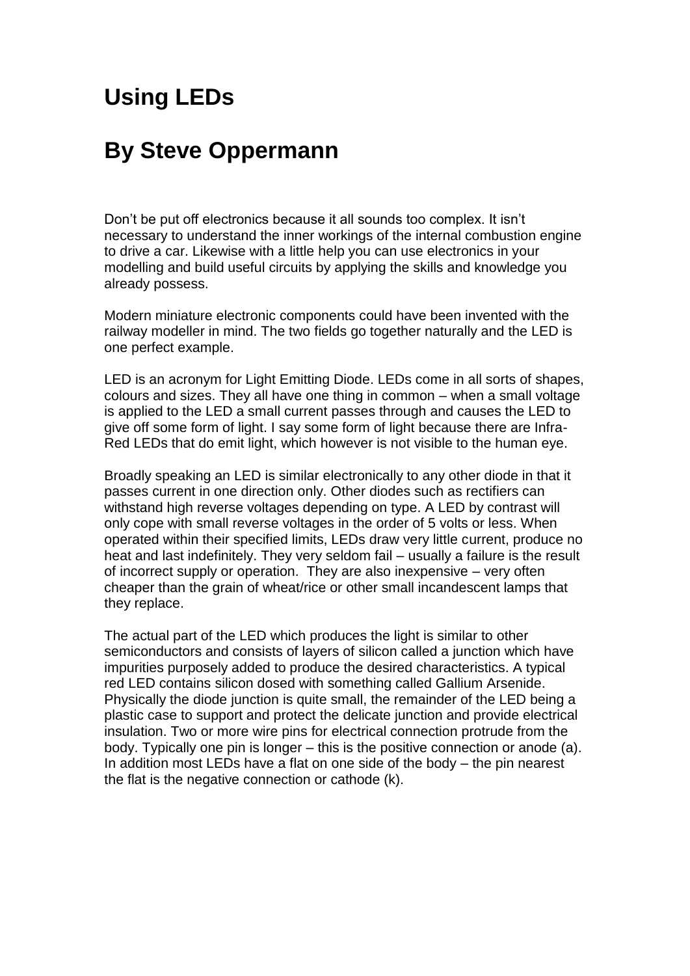# **Using LEDs**

# **By Steve Oppermann**

Don't be put off electronics because it all sounds too complex. It isn't necessary to understand the inner workings of the internal combustion engine to drive a car. Likewise with a little help you can use electronics in your modelling and build useful circuits by applying the skills and knowledge you already possess.

Modern miniature electronic components could have been invented with the railway modeller in mind. The two fields go together naturally and the LED is one perfect example.

LED is an acronym for Light Emitting Diode. LEDs come in all sorts of shapes, colours and sizes. They all have one thing in common – when a small voltage is applied to the LED a small current passes through and causes the LED to give off some form of light. I say some form of light because there are Infra-Red LEDs that do emit light, which however is not visible to the human eye.

Broadly speaking an LED is similar electronically to any other diode in that it passes current in one direction only. Other diodes such as rectifiers can withstand high reverse voltages depending on type. A LED by contrast will only cope with small reverse voltages in the order of 5 volts or less. When operated within their specified limits, LEDs draw very little current, produce no heat and last indefinitely. They very seldom fail – usually a failure is the result of incorrect supply or operation. They are also inexpensive – very often cheaper than the grain of wheat/rice or other small incandescent lamps that they replace.

The actual part of the LED which produces the light is similar to other semiconductors and consists of layers of silicon called a junction which have impurities purposely added to produce the desired characteristics. A typical red LED contains silicon dosed with something called Gallium Arsenide. Physically the diode junction is quite small, the remainder of the LED being a plastic case to support and protect the delicate junction and provide electrical insulation. Two or more wire pins for electrical connection protrude from the body. Typically one pin is longer – this is the positive connection or anode (a). In addition most LEDs have a flat on one side of the body – the pin nearest the flat is the negative connection or cathode (k).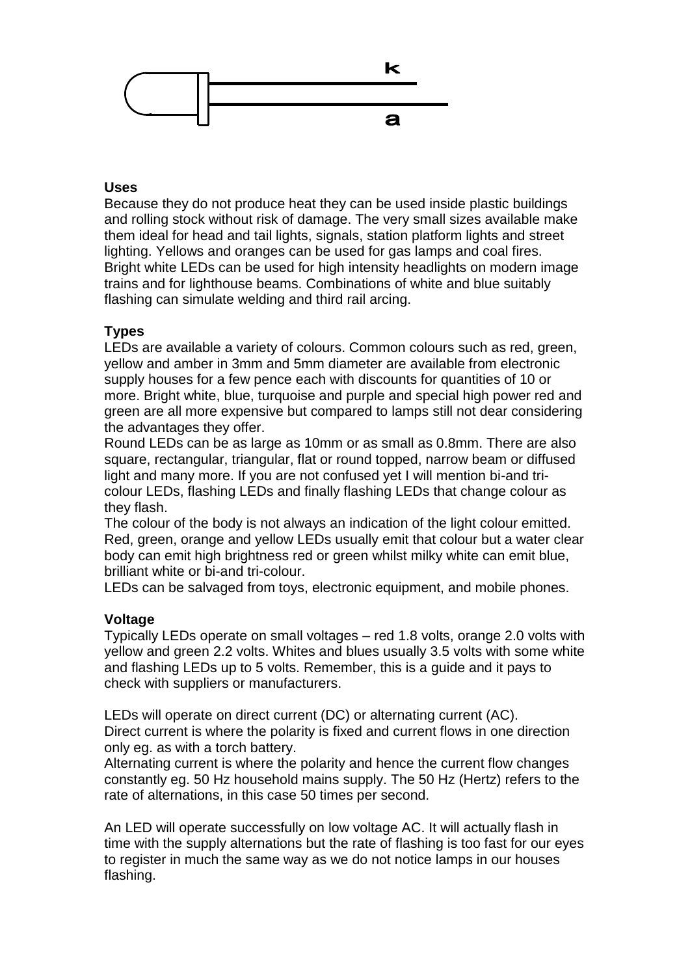

#### **Uses**

Because they do not produce heat they can be used inside plastic buildings and rolling stock without risk of damage. The very small sizes available make them ideal for head and tail lights, signals, station platform lights and street lighting. Yellows and oranges can be used for gas lamps and coal fires. Bright white LEDs can be used for high intensity headlights on modern image trains and for lighthouse beams. Combinations of white and blue suitably flashing can simulate welding and third rail arcing.

# **Types**

LEDs are available a variety of colours. Common colours such as red, green, yellow and amber in 3mm and 5mm diameter are available from electronic supply houses for a few pence each with discounts for quantities of 10 or more. Bright white, blue, turquoise and purple and special high power red and green are all more expensive but compared to lamps still not dear considering the advantages they offer.

Round LEDs can be as large as 10mm or as small as 0.8mm. There are also square, rectangular, triangular, flat or round topped, narrow beam or diffused light and many more. If you are not confused yet I will mention bi-and tricolour LEDs, flashing LEDs and finally flashing LEDs that change colour as they flash.

The colour of the body is not always an indication of the light colour emitted. Red, green, orange and yellow LEDs usually emit that colour but a water clear body can emit high brightness red or green whilst milky white can emit blue, brilliant white or bi-and tri-colour.

LEDs can be salvaged from toys, electronic equipment, and mobile phones.

# **Voltage**

Typically LEDs operate on small voltages – red 1.8 volts, orange 2.0 volts with yellow and green 2.2 volts. Whites and blues usually 3.5 volts with some white and flashing LEDs up to 5 volts. Remember, this is a guide and it pays to check with suppliers or manufacturers.

LEDs will operate on direct current (DC) or alternating current (AC). Direct current is where the polarity is fixed and current flows in one direction only eg. as with a torch battery.

Alternating current is where the polarity and hence the current flow changes constantly eg. 50 Hz household mains supply. The 50 Hz (Hertz) refers to the rate of alternations, in this case 50 times per second.

An LED will operate successfully on low voltage AC. It will actually flash in time with the supply alternations but the rate of flashing is too fast for our eyes to register in much the same way as we do not notice lamps in our houses flashing.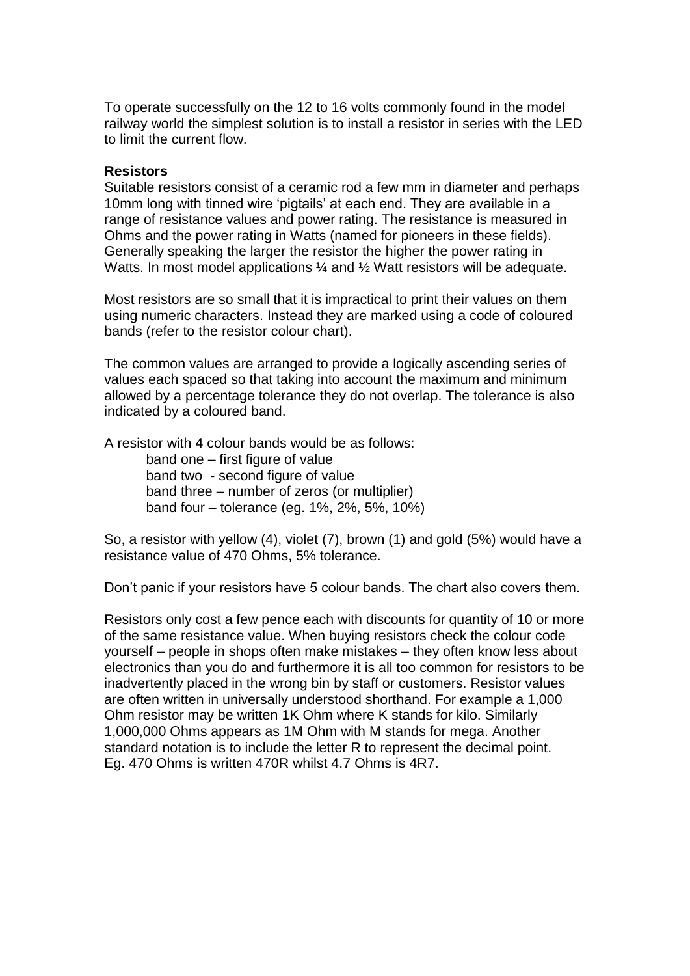To operate successfully on the 12 to 16 volts commonly found in the model railway world the simplest solution is to install a resistor in series with the LED to limit the current flow.

#### **Resistors**

Suitable resistors consist of a ceramic rod a few mm in diameter and perhaps 10mm long with tinned wire 'pigtails' at each end. They are available in a range of resistance values and power rating. The resistance is measured in Ohms and the power rating in Watts (named for pioneers in these fields). Generally speaking the larger the resistor the higher the power rating in Watts. In most model applications  $\frac{1}{4}$  and  $\frac{1}{2}$  Watt resistors will be adequate.

Most resistors are so small that it is impractical to print their values on them using numeric characters. Instead they are marked using a code of coloured bands (refer to the resistor colour chart).

The common values are arranged to provide a logically ascending series of values each spaced so that taking into account the maximum and minimum allowed by a percentage tolerance they do not overlap. The tolerance is also indicated by a coloured band.

A resistor with 4 colour bands would be as follows:

band one – first figure of value band two - second figure of value band three – number of zeros (or multiplier) band four – tolerance (eg. 1%, 2%, 5%, 10%)

So, a resistor with yellow (4), violet (7), brown (1) and gold (5%) would have a resistance value of 470 Ohms, 5% tolerance.

Don't panic if your resistors have 5 colour bands. The chart also covers them.

Resistors only cost a few pence each with discounts for quantity of 10 or more of the same resistance value. When buying resistors check the colour code yourself – people in shops often make mistakes – they often know less about electronics than you do and furthermore it is all too common for resistors to be inadvertently placed in the wrong bin by staff or customers. Resistor values are often written in universally understood shorthand. For example a 1,000 Ohm resistor may be written 1K Ohm where K stands for kilo. Similarly 1,000,000 Ohms appears as 1M Ohm with M stands for mega. Another standard notation is to include the letter R to represent the decimal point. Eg. 470 Ohms is written 470R whilst 4.7 Ohms is 4R7.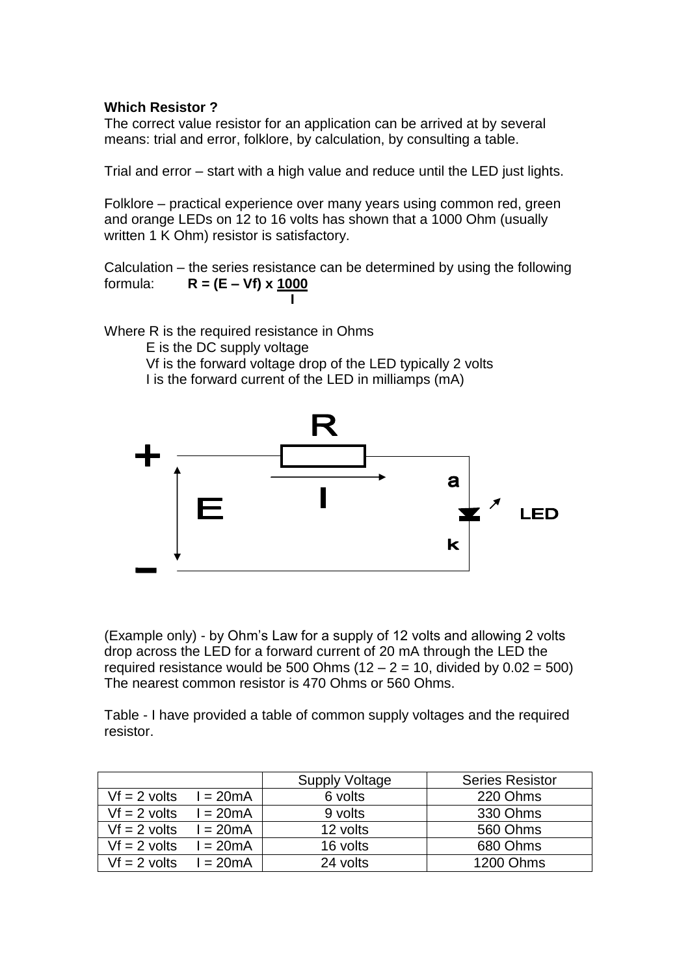#### **Which Resistor ?**

The correct value resistor for an application can be arrived at by several means: trial and error, folklore, by calculation, by consulting a table.

Trial and error – start with a high value and reduce until the LED just lights.

Folklore – practical experience over many years using common red, green and orange LEDs on 12 to 16 volts has shown that a 1000 Ohm (usually written 1 K Ohm) resistor is satisfactory.

Calculation – the series resistance can be determined by using the following formula: **R = (E – Vf) x 1000 I**

Where R is the required resistance in Ohms E is the DC supply voltage Vf is the forward voltage drop of the LED typically 2 volts I is the forward current of the LED in milliamps (mA)



(Example only) - by Ohm's Law for a supply of 12 volts and allowing 2 volts drop across the LED for a forward current of 20 mA through the LED the required resistance would be 500 Ohms  $(12 - 2 = 10$ , divided by  $0.02 = 500$ ) The nearest common resistor is 470 Ohms or 560 Ohms.

Table - I have provided a table of common supply voltages and the required resistor.

|                |            | Supply Voltage | <b>Series Resistor</b> |
|----------------|------------|----------------|------------------------|
| $Vf = 2$ volts | $l = 20mA$ | 6 volts        | 220 Ohms               |
| $Vf = 2$ volts | $l = 20mA$ | 9 volts        | 330 Ohms               |
| $Vf = 2$ volts | $l = 20mA$ | 12 volts       | 560 Ohms               |
| $Vf = 2$ volts | $= 20mA$   | 16 volts       | 680 Ohms               |
| $Vf = 2$ volts | $l = 20mA$ | 24 volts       | <b>1200 Ohms</b>       |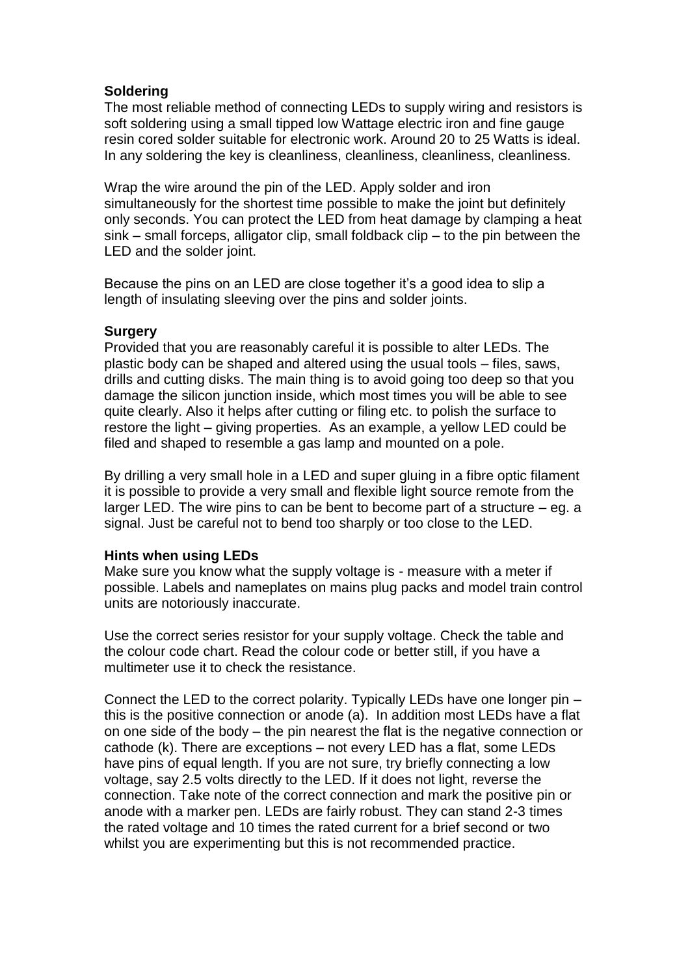# **Soldering**

The most reliable method of connecting LEDs to supply wiring and resistors is soft soldering using a small tipped low Wattage electric iron and fine gauge resin cored solder suitable for electronic work. Around 20 to 25 Watts is ideal. In any soldering the key is cleanliness, cleanliness, cleanliness, cleanliness.

Wrap the wire around the pin of the LED. Apply solder and iron simultaneously for the shortest time possible to make the joint but definitely only seconds. You can protect the LED from heat damage by clamping a heat sink – small forceps, alligator clip, small foldback clip – to the pin between the LED and the solder joint.

Because the pins on an LED are close together it's a good idea to slip a length of insulating sleeving over the pins and solder joints.

# **Surgery**

Provided that you are reasonably careful it is possible to alter LEDs. The plastic body can be shaped and altered using the usual tools – files, saws, drills and cutting disks. The main thing is to avoid going too deep so that you damage the silicon junction inside, which most times you will be able to see quite clearly. Also it helps after cutting or filing etc. to polish the surface to restore the light – giving properties. As an example, a yellow LED could be filed and shaped to resemble a gas lamp and mounted on a pole.

By drilling a very small hole in a LED and super gluing in a fibre optic filament it is possible to provide a very small and flexible light source remote from the larger LED. The wire pins to can be bent to become part of a structure – eg. a signal. Just be careful not to bend too sharply or too close to the LED.

# **Hints when using LEDs**

Make sure you know what the supply voltage is - measure with a meter if possible. Labels and nameplates on mains plug packs and model train control units are notoriously inaccurate.

Use the correct series resistor for your supply voltage. Check the table and the colour code chart. Read the colour code or better still, if you have a multimeter use it to check the resistance.

Connect the LED to the correct polarity. Typically LEDs have one longer pin – this is the positive connection or anode (a). In addition most LEDs have a flat on one side of the body – the pin nearest the flat is the negative connection or cathode (k). There are exceptions – not every LED has a flat, some LEDs have pins of equal length. If you are not sure, try briefly connecting a low voltage, say 2.5 volts directly to the LED. If it does not light, reverse the connection. Take note of the correct connection and mark the positive pin or anode with a marker pen. LEDs are fairly robust. They can stand 2-3 times the rated voltage and 10 times the rated current for a brief second or two whilst you are experimenting but this is not recommended practice.